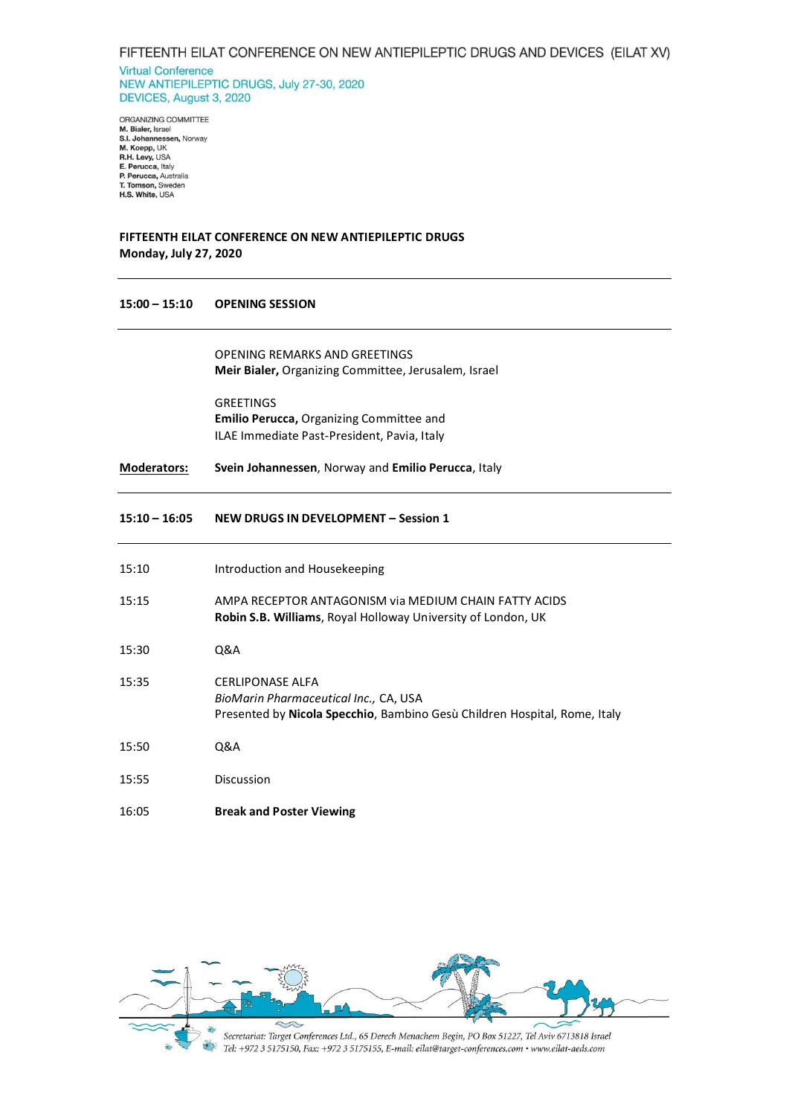**Virtual Conference** NEW ANTIEPILEPTIC DRUGS, July 27-30, 2020 DEVICES, August 3, 2020

ORGANIZING COMMITTEE M. Bialer, Israel<br>S.I. Johannessen, Norway<br>M. Koepp, UK<br>R.H. Levy, USA E. Perucca, Italy<br>P. Perucca, Australia T. Tomson, Sweden<br>H.S. White, USA

# **FIFTEENTH EILAT CONFERENCE ON NEW ANTIEPILEPTIC DRUGS Monday, July 27, 2020**

#### **15:00 – 15:10 OPENING SESSION**

OPENING REMARKS AND GREETINGS **Meir Bialer,** Organizing Committee, Jerusalem, Israel

GREETINGS **Emilio Perucca,** Organizing Committee and ILAE Immediate Past-President, Pavia, Italy

**Moderators: Svein Johannessen**, Norway and **Emilio Perucca**, Italy

# **15:10 – 16:05 NEW DRUGS IN DEVELOPMENT – Session 1**

| 15:10 | Introduction and Housekeeping                                                                                                                         |
|-------|-------------------------------------------------------------------------------------------------------------------------------------------------------|
| 15:15 | AMPA RECEPTOR ANTAGONISM via MEDIUM CHAIN FATTY ACIDS<br>Robin S.B. Williams, Royal Holloway University of London, UK                                 |
| 15:30 | 0&A                                                                                                                                                   |
| 15:35 | <b>CERLIPONASE ALFA</b><br>BioMarin Pharmaceutical Inc., CA, USA<br>Presented by <b>Nicola Specchio</b> , Bambino Gesù Children Hospital, Rome, Italy |
| 15:50 | Q&A                                                                                                                                                   |
| 15:55 | Discussion                                                                                                                                            |
| 16:05 | <b>Break and Poster Viewing</b>                                                                                                                       |

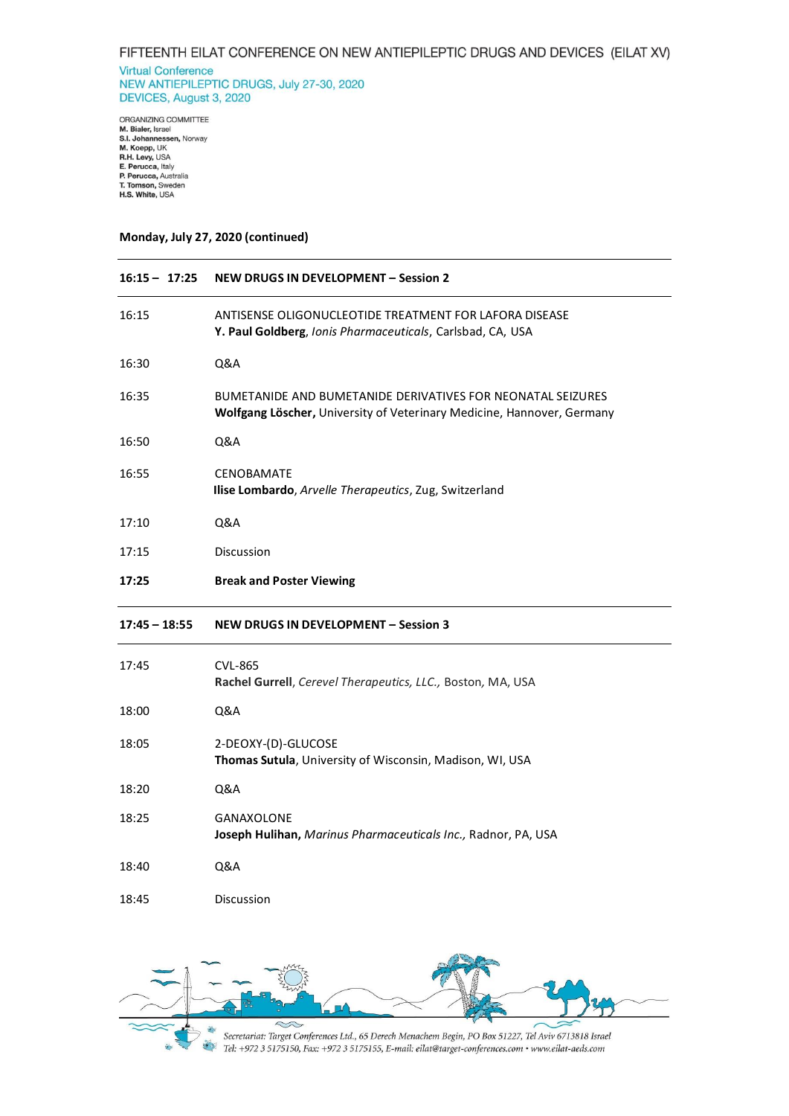**Virtual Conference** NEW ANTIEPILEPTIC DRUGS, July 27-30, 2020 DEVICES, August 3, 2020

ORGANIZING COMMITTEE<br>**M. Bialer**, Israel<br>**S.I. Johannessen,** Norway<br>**M. Koepp,** UK<br>**R.H. Levy,** USA<br>**E. Perucca**, Raly<br>**P. Perucca**, Australia<br>**T. Tomson,** Sweden<br>**H.S. White,** USA

## **Monday, July 27, 2020 (continued)**

| $16:15 - 17:25$ | <b>NEW DRUGS IN DEVELOPMENT - Session 2</b>                                                                                                  |
|-----------------|----------------------------------------------------------------------------------------------------------------------------------------------|
| 16:15           | ANTISENSE OLIGONUCLEOTIDE TREATMENT FOR LAFORA DISEASE<br>Y. Paul Goldberg, Ionis Pharmaceuticals, Carlsbad, CA, USA                         |
| 16:30           | Q&A                                                                                                                                          |
| 16:35           | <b>BUMETANIDE AND BUMETANIDE DERIVATIVES FOR NEONATAL SEIZURES</b><br>Wolfgang Löscher, University of Veterinary Medicine, Hannover, Germany |
| 16:50           | Q&A                                                                                                                                          |
| 16:55           | <b>CENOBAMATE</b><br>Ilise Lombardo, Arvelle Therapeutics, Zug, Switzerland                                                                  |
| 17:10           | Q&A                                                                                                                                          |
| 17:15           | Discussion                                                                                                                                   |
| 17:25           | <b>Break and Poster Viewing</b>                                                                                                              |
|                 |                                                                                                                                              |
| $17:45 - 18:55$ | <b>NEW DRUGS IN DEVELOPMENT - Session 3</b>                                                                                                  |
| 17:45           | <b>CVL-865</b><br>Rachel Gurrell, Cerevel Therapeutics, LLC., Boston, MA, USA                                                                |
| 18:00           | Q&A                                                                                                                                          |
| 18:05           | 2-DEOXY-(D)-GLUCOSE<br>Thomas Sutula, University of Wisconsin, Madison, WI, USA                                                              |
| 18:20           | Q&A                                                                                                                                          |
| 18:25           | GANAXOLONE<br>Joseph Hulihan, Marinus Pharmaceuticals Inc., Radnor, PA, USA                                                                  |
| 18:40           | Q&A                                                                                                                                          |

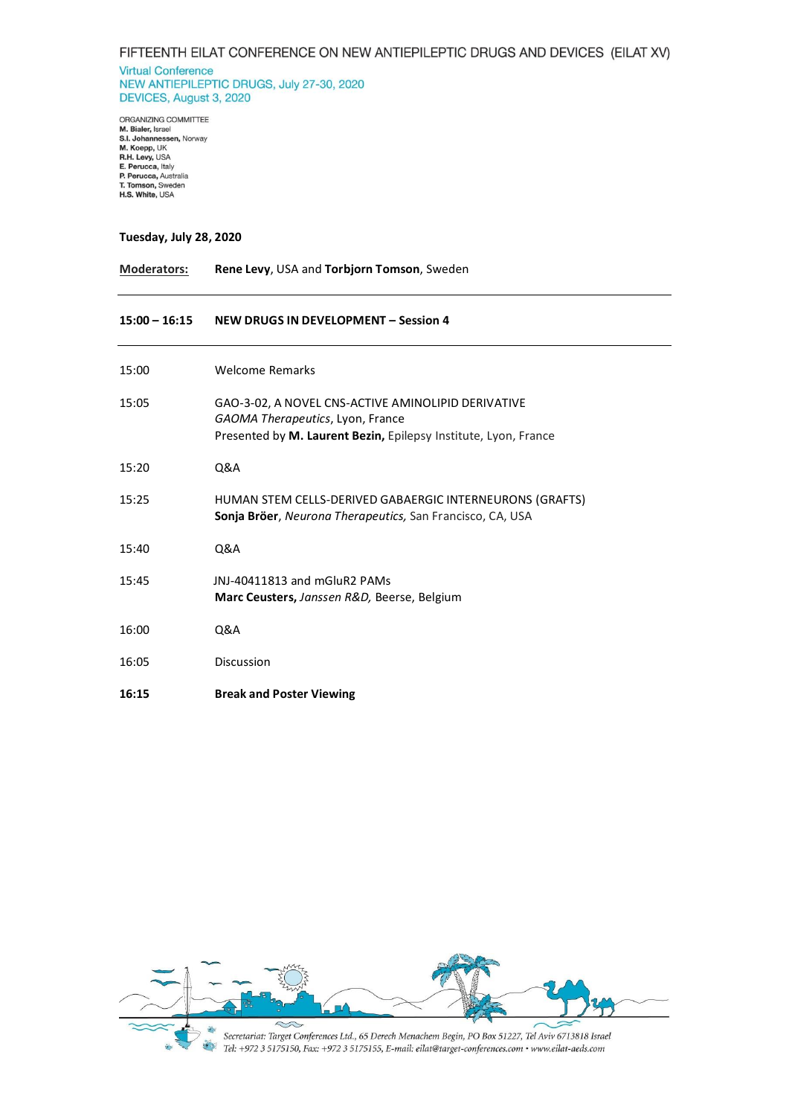**Virtual Conference** NEW ANTIEPILEPTIC DRUGS, July 27-30, 2020 DEVICES, August 3, 2020

ORGANIZING COMMITTEE<br>**M. Bialer**, Israel<br>**S.I. Johannessen,** Norway<br>**M. Koepp,** UK<br>**R.H. Levy,** USA<br>**E. Perucca**, Raly<br>**P. Perucca**, Australia<br>**T. Tomson,** Sweden<br>**H.S. White,** USA

## **Tuesday, July 28, 2020**

| <b>Moderators:</b> | Rene Levy, USA and Torbjorn Tomson, Sweden                                                                                                                |
|--------------------|-----------------------------------------------------------------------------------------------------------------------------------------------------------|
| $15:00 - 16:15$    | NEW DRUGS IN DEVELOPMENT - Session 4                                                                                                                      |
| 15:00              | <b>Welcome Remarks</b>                                                                                                                                    |
| 15:05              | GAO-3-02, A NOVEL CNS-ACTIVE AMINOLIPID DERIVATIVE<br>GAOMA Therapeutics, Lyon, France<br>Presented by M. Laurent Bezin, Epilepsy Institute, Lyon, France |
| 15:20              | Q&A                                                                                                                                                       |
| 15:25              | HUMAN STEM CELLS-DERIVED GABAERGIC INTERNEURONS (GRAFTS)<br>Sonja Bröer, Neurona Therapeutics, San Francisco, CA, USA                                     |
| 15:40              | Q&A                                                                                                                                                       |
| 15:45              | JNJ-40411813 and mGluR2 PAMs<br>Marc Ceusters, Janssen R&D, Beerse, Belgium                                                                               |
| 16:00              | Q&A                                                                                                                                                       |
| 16:05              | <b>Discussion</b>                                                                                                                                         |
| 16:15              | <b>Break and Poster Viewing</b>                                                                                                                           |

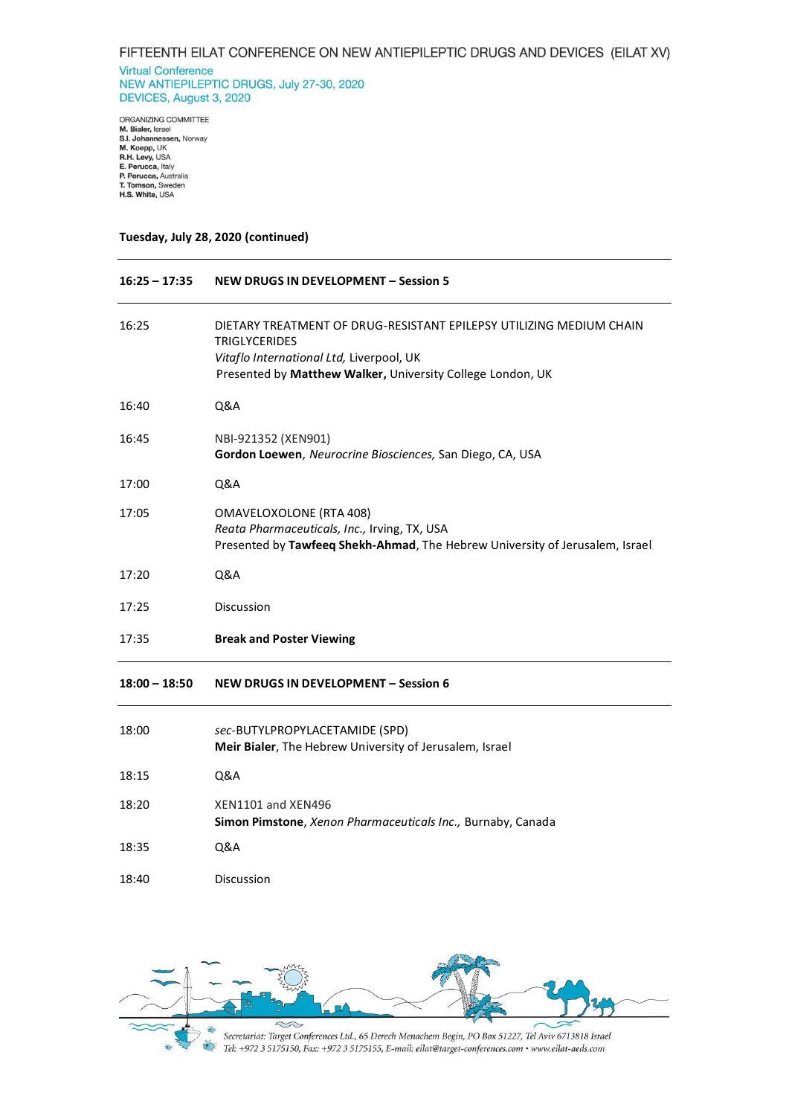**Virtual Conference** NEW ANTIEPILEPTIC DRUGS, July 27-30, 2020 DEVICES, August 3, 2020

ORGANIZING COMMITTEE<br>**M. Bialer**, Israel<br>**S.I. Johannessen,** Norway<br>**M. Koepp,** UK<br>**R.H. Levy,** USA<br>**E. Perucca**, Raly<br>**P. Perucca**, Australia<br>**T. Tomson,** Sweden<br>**H.S. White,** USA

## **Tuesday, July 28, 2020 (continued)**

| $16:25 - 17:35$ | <b>NEW DRUGS IN DEVELOPMENT - Session 5</b>                                                                                                                                                           |
|-----------------|-------------------------------------------------------------------------------------------------------------------------------------------------------------------------------------------------------|
| 16:25           | DIETARY TREATMENT OF DRUG-RESISTANT EPILEPSY UTILIZING MEDIUM CHAIN<br><b>TRIGLYCERIDES</b><br>Vitaflo International Ltd, Liverpool, UK<br>Presented by Matthew Walker, University College London, UK |
| 16:40           | Q&A                                                                                                                                                                                                   |
| 16:45           | NBI-921352 (XEN901)<br>Gordon Loewen, Neurocrine Biosciences, San Diego, CA, USA                                                                                                                      |
| 17:00           | Q&A                                                                                                                                                                                                   |
| 17:05           | <b>OMAVELOXOLONE (RTA 408)</b><br>Reata Pharmaceuticals, Inc., Irving, TX, USA<br>Presented by Tawfeeq Shekh-Ahmad, The Hebrew University of Jerusalem, Israel                                        |
| 17:20           | Q&A                                                                                                                                                                                                   |
| 17:25           | <b>Discussion</b>                                                                                                                                                                                     |
| 17:35           | <b>Break and Poster Viewing</b>                                                                                                                                                                       |
| $18:00 - 18:50$ | <b>NEW DRUGS IN DEVELOPMENT - Session 6</b>                                                                                                                                                           |
| 18:00           | sec-BUTYLPROPYLACETAMIDE (SPD)<br>Meir Bialer, The Hebrew University of Jerusalem, Israel                                                                                                             |
| 18:15           | Q&A                                                                                                                                                                                                   |
| 18:20           | XEN1101 and XEN496<br>Simon Pimstone, Xenon Pharmaceuticals Inc., Burnaby, Canada                                                                                                                     |
| 18:35           | Q&A                                                                                                                                                                                                   |
| 18:40           | <b>Discussion</b>                                                                                                                                                                                     |

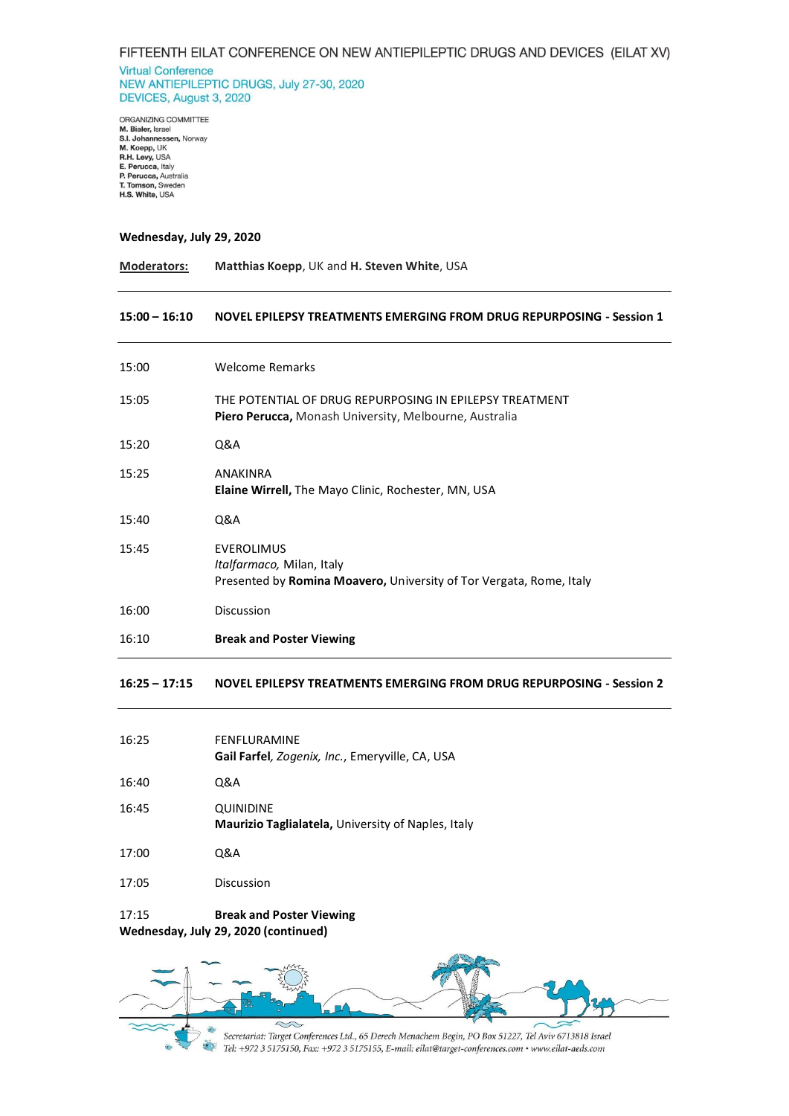**Virtual Conference** NEW ANTIEPILEPTIC DRUGS, July 27-30, 2020 DEVICES, August 3, 2020

ORGANIZING COMMITTEE URGANIZING COMMITTEE<br>**S.I. Johannessen, N**orway<br>**S.I. Johannessen, Norway<br><b>M. Koepp,** UK<br>**R.H. Levy,** USA<br>**E. Perucca, Australia<br>P. Perucca, Australia<br>T. Tomson, Sweden** T. Tomson, Sweden<br>H.S. White, USA

#### **Wednesday, July 29, 2020**

| <b>Moderators:</b> | Matthias Koepp, UK and H. Steven White, USA |
|--------------------|---------------------------------------------|
|--------------------|---------------------------------------------|

### **15:00 – 16:10 NOVEL EPILEPSY TREATMENTS EMERGING FROM DRUG REPURPOSING - Session 1**

| 15:00 | <b>Welcome Remarks</b>                                                                                                       |
|-------|------------------------------------------------------------------------------------------------------------------------------|
| 15:05 | THE POTENTIAL OF DRUG REPURPOSING IN EPILEPSY TREATMENT<br><b>Piero Perucca, Monash University, Melbourne, Australia</b>     |
| 15:20 | Q&A                                                                                                                          |
| 15:25 | ANAKINRA<br><b>Elaine Wirrell, The Mayo Clinic, Rochester, MN, USA</b>                                                       |
| 15:40 | Q&A                                                                                                                          |
| 15:45 | <b>EVEROLIMUS</b><br><i>Italfarmaco, Milan, Italy</i><br>Presented by Romina Moavero, University of Tor Vergata, Rome, Italy |
| 16:00 | <b>Discussion</b>                                                                                                            |
| 16:10 | <b>Break and Poster Viewing</b>                                                                                              |

**16:25 – 17:15 NOVEL EPILEPSY TREATMENTS EMERGING FROM DRUG REPURPOSING - Session 2**

| 16:25 | FENFLURAMINE<br>Gail Farfel, Zogenix, Inc., Emeryville, CA, USA |
|-------|-----------------------------------------------------------------|
| 16:40 | Q&A                                                             |
| 16:45 | QUINIDINE<br>Maurizio Taglialatela, University of Naples, Italy |
| 17:00 | Q&A                                                             |
| 17:05 | Discussion                                                      |

17:15 **Break and Poster Viewing**

**Wednesday, July 29, 2020 (continued)**

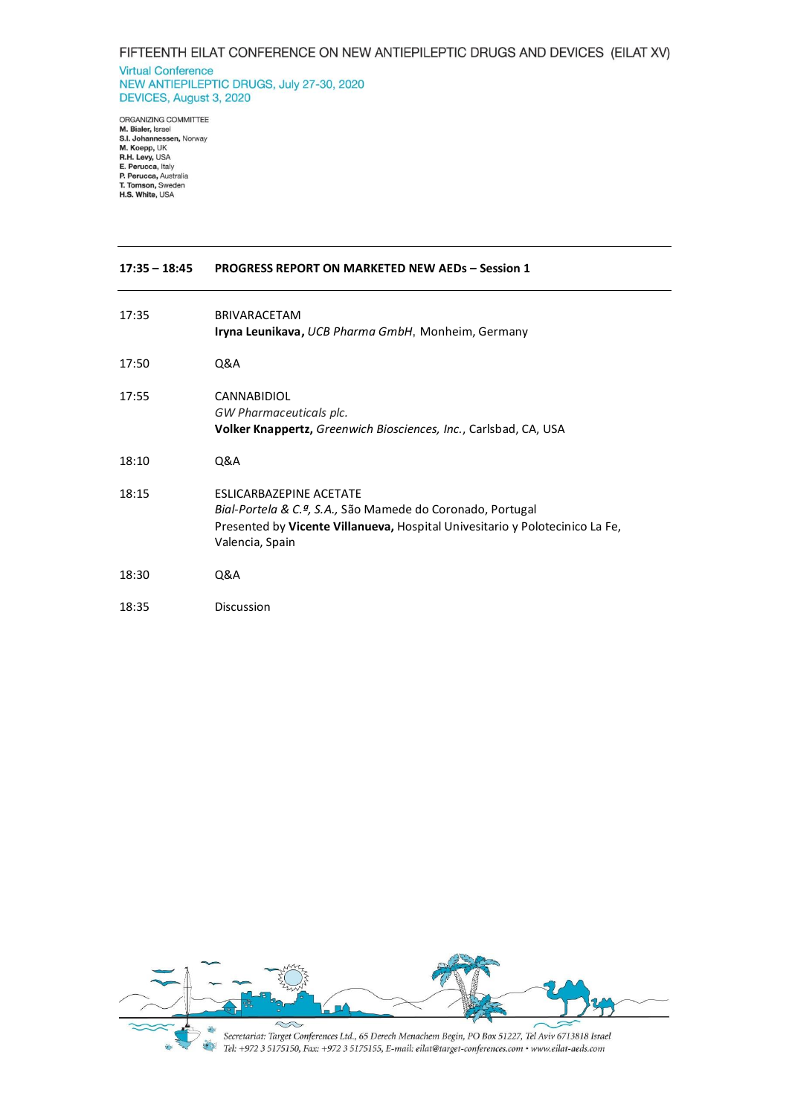#### **Virtual Conference** NEW ANTIEPILEPTIC DRUGS, July 27-30, 2020 DEVICES, August 3, 2020

ORGANIZING COMMITTEE<br>**M. Bialer**, Israel<br>**S.I. Johannessen,** Norway<br>**M. Koepp,** UK<br>**R.H. Levy,** USA<br>**R.H. Levy,** USA<br>**P. Perucca**, Australia<br>**T. Tomson,** Sweden<br>**H.S. White,** USA

| $17:35 - 18:45$ | <b>PROGRESS REPORT ON MARKETED NEW AEDs - Session 1</b>                                                                                                                                         |
|-----------------|-------------------------------------------------------------------------------------------------------------------------------------------------------------------------------------------------|
| 17:35           | <b>BRIVARACETAM</b><br>Iryna Leunikava, UCB Pharma GmbH, Monheim, Germany                                                                                                                       |
| 17:50           | Q&A                                                                                                                                                                                             |
| 17:55           | <b>CANNABIDIOL</b><br>GW Pharmaceuticals plc.<br>Volker Knappertz, Greenwich Biosciences, Inc., Carlsbad, CA, USA                                                                               |
| 18:10           | Q&A                                                                                                                                                                                             |
| 18:15           | <b>FSLICARBAZEPINE ACETATE</b><br>Bial-Portela & C.ª, S.A., São Mamede do Coronado, Portugal<br>Presented by Vicente Villanueva, Hospital Univesitario y Polotecinico La Fe,<br>Valencia, Spain |
| 18:30           | Q&A                                                                                                                                                                                             |
| 18:35           | Discussion                                                                                                                                                                                      |

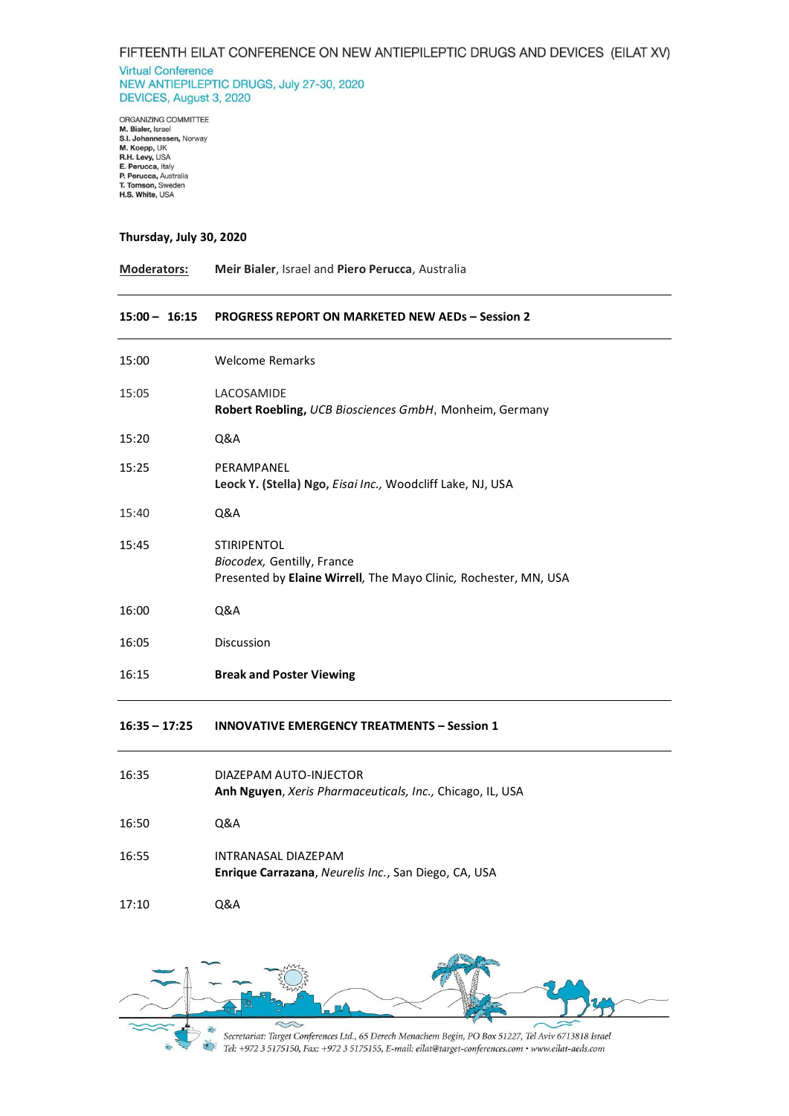**Virtual Conference** NEW ANTIEPILEPTIC DRUGS, July 27-30, 2020 DEVICES, August 3, 2020

ORGANIZING COMMITTEE ORGANIZING COMMITTEE<br>**S.I. Johannessen, N**orway<br>**S.I. Johannessen, N**orway<br>**M. Koepp,** UK<br>**R.H. Levy,** USA<br>**E. Perucca,** Australia<br>**P. Perucca,** Australia<br>**T. Tomson**, Sweden T. Tomson, Sweden<br>H.S. White, USA

#### **Thursday, July 30, 2020**

**Moderators: Meir Bialer**, Israel and **Piero Perucca**, Australia

#### **15:00 – 16:15 PROGRESS REPORT ON MARKETED NEW AEDs – Session 2**

| 15:00 | <b>Welcome Remarks</b>                                                                                               |
|-------|----------------------------------------------------------------------------------------------------------------------|
| 15:05 | LACOSAMIDE<br><b>Robert Roebling, UCB Biosciences GmbH, Monheim, Germany</b>                                         |
| 15:20 | Q&A                                                                                                                  |
| 15:25 | PERAMPANEL<br>Leock Y. (Stella) Ngo, Eisai Inc., Woodcliff Lake, NJ, USA                                             |
| 15:40 | Q&A                                                                                                                  |
| 15:45 | <b>STIRIPENTOL</b><br>Biocodex, Gentilly, France<br>Presented by Elaine Wirrell, The Mayo Clinic, Rochester, MN, USA |
| 16:00 | Q&A                                                                                                                  |
| 16:05 | Discussion                                                                                                           |
| 16:15 | <b>Break and Poster Viewing</b>                                                                                      |

# **16:35 – 17:25 INNOVATIVE EMERGENCY TREATMENTS – Session 1**

| 16:35 | DIAZEPAM AUTO-INJECTOR<br><b>Anh Nguyen, Xeris Pharmaceuticals, Inc., Chicago, IL, USA</b> |
|-------|--------------------------------------------------------------------------------------------|
| 16:50 | 0&A                                                                                        |
| 16:55 | INTRANASAL DIAZEPAM<br>Enrique Carrazana, Neurelis Inc., San Diego, CA, USA                |
| 17:10 | 0&A                                                                                        |

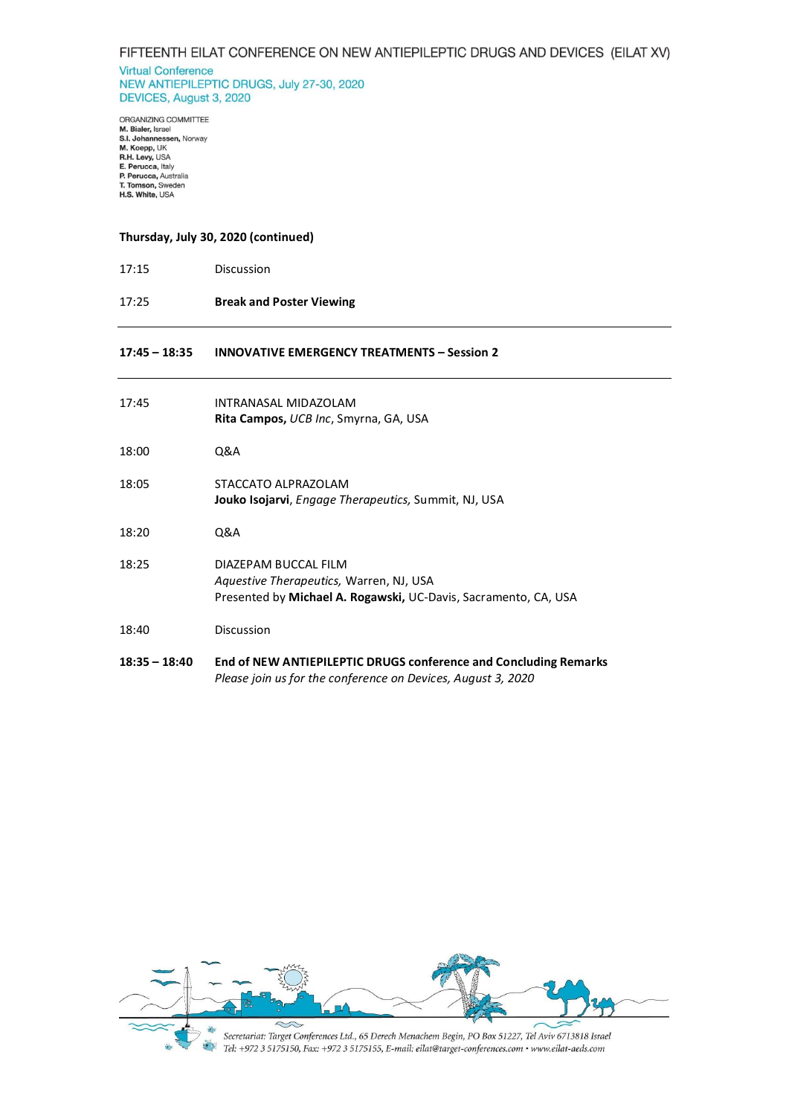**Virtual Conference** NEW ANTIEPILEPTIC DRUGS, July 27-30, 2020 DEVICES, August 3, 2020

ORGANIZING COMMITTEE<br>**M. Bialer**, Israel<br>**S.I. Johannessen,** Norway<br>**M. Koepp,** UK<br>**R.H. Levy,** USA<br>**E. Perucca**, Raly<br>**P. Perucca**, Australia<br>**T. Tomson,** Sweden<br>**H.S. White,** USA

## **Thursday, July 30, 2020 (continued)**

- 17:15 Discussion
- 17:25 **Break and Poster Viewing**

#### **17:45 – 18:35 INNOVATIVE EMERGENCY TREATMENTS – Session 2**

| 17:45           | INTRANASAL MIDAZOLAM<br>Rita Campos, UCB Inc, Smyrna, GA, USA                                                                           |
|-----------------|-----------------------------------------------------------------------------------------------------------------------------------------|
| 18:00           | Q&A                                                                                                                                     |
| 18:05           | STACCATO ALPRAZOLAM<br>Jouko Isojarvi, Engage Therapeutics, Summit, NJ, USA                                                             |
| 18:20           | Q&A                                                                                                                                     |
| 18:25           | DIAZEPAM BUCCAL FILM<br>Aquestive Therapeutics, Warren, NJ, USA<br>Presented by Michael A. Rogawski, UC-Davis, Sacramento, CA, USA      |
| 18:40           | Discussion                                                                                                                              |
| $18:35 - 18:40$ | <b>End of NEW ANTIEPILEPTIC DRUGS conference and Concluding Remarks</b><br>Please join us for the conference on Devices, August 3, 2020 |

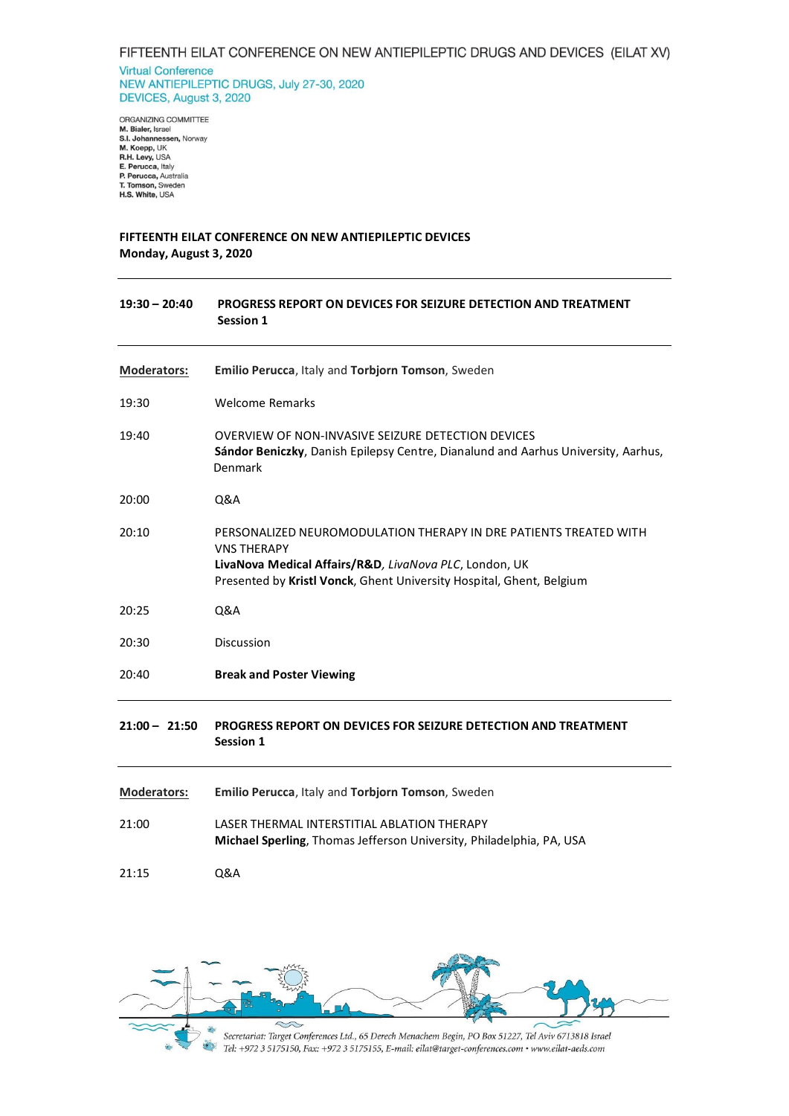**Virtual Conference** NEW ANTIEPILEPTIC DRUGS, July 27-30, 2020 DEVICES, August 3, 2020

ORGANIZING COMMITTEE<br>**M. Bialer**, Israel<br>**S.I. Johannessen,** Norway<br>**M. Koepp,** UK<br>**R.H. Levy,** USA<br>**E. Perucca**, Raly<br>**P. Perucca**, Australia<br>**T. Tomson,** Sweden<br>**H.S. White,** USA

# **FIFTEENTH EILAT CONFERENCE ON NEW ANTIEPILEPTIC DEVICES Monday, August 3, 2020**

| $19:30 - 20:40$    | PROGRESS REPORT ON DEVICES FOR SEIZURE DETECTION AND TREATMENT<br>Session 1                                                                                                                                               |
|--------------------|---------------------------------------------------------------------------------------------------------------------------------------------------------------------------------------------------------------------------|
| <b>Moderators:</b> | Emilio Perucca, Italy and Torbjorn Tomson, Sweden                                                                                                                                                                         |
| 19:30              | <b>Welcome Remarks</b>                                                                                                                                                                                                    |
| 19:40              | OVERVIEW OF NON-INVASIVE SEIZURE DETECTION DEVICES<br>Sándor Beniczky, Danish Epilepsy Centre, Dianalund and Aarhus University, Aarhus,<br>Denmark                                                                        |
| 20:00              | Q&A                                                                                                                                                                                                                       |
| 20:10              | PERSONALIZED NEUROMODULATION THERAPY IN DRE PATIENTS TREATED WITH<br><b>VNS THERAPY</b><br>LivaNova Medical Affairs/R&D, LivaNova PLC, London, UK<br>Presented by Kristl Vonck, Ghent University Hospital, Ghent, Belgium |
| 20:25              | <b>Q&amp;A</b>                                                                                                                                                                                                            |
| 20:30              | <b>Discussion</b>                                                                                                                                                                                                         |
| 20:40              | <b>Break and Poster Viewing</b>                                                                                                                                                                                           |
| $21:00 - 21:50$    | PROGRESS REPORT ON DEVICES FOR SEIZURE DETECTION AND TREATMENT<br>Session 1                                                                                                                                               |
| Moderators:        | Emilio Perucca, Italy and Torbjorn Tomson, Sweden                                                                                                                                                                         |
| 21:00              | LASER THERMAL INTERSTITIAL ABLATION THERAPY<br>Michael Sperling, Thomas Jefferson University, Philadelphia, PA, USA                                                                                                       |
| 21:15              | Q&A                                                                                                                                                                                                                       |

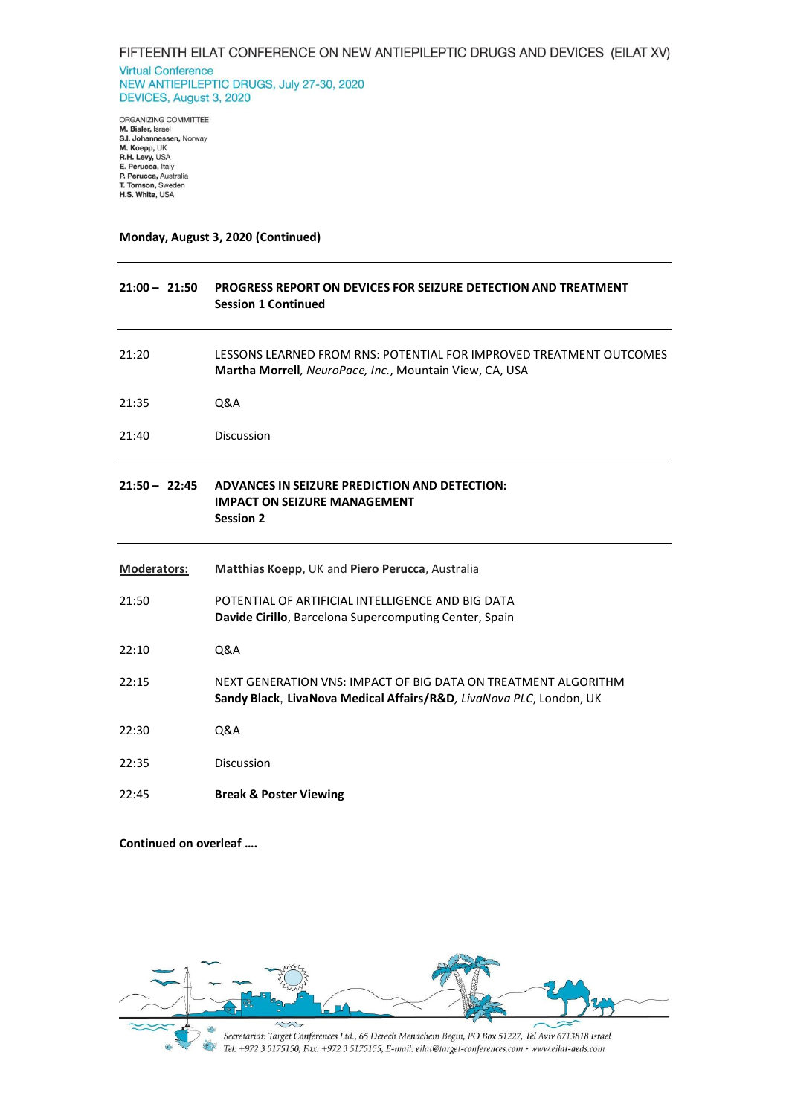**Virtual Conference** NEW ANTIEPILEPTIC DRUGS, July 27-30, 2020 DEVICES, August 3, 2020

ORGANIZING COMMITTEE<br>**M. Bialer**, Israel<br>**S.I. Johannessen,** Norway<br>**M. Koepp,** UK<br>**R.H. Levy,** USA<br>**E. Perucca**, Raly<br>**P. Perucca**, Australia<br>**T. Tomson,** Sweden<br>**H.S. White,** USA

## **Monday, August 3, 2020 (Continued)**

| $21:00 - 21:50$    | PROGRESS REPORT ON DEVICES FOR SEIZURE DETECTION AND TREATMENT<br><b>Session 1 Continued</b>                                          |
|--------------------|---------------------------------------------------------------------------------------------------------------------------------------|
| 21:20              | LESSONS LEARNED FROM RNS: POTENTIAL FOR IMPROVED TREATMENT OUTCOMES<br>Martha Morrell, NeuroPace, Inc., Mountain View, CA, USA        |
| 21:35              | <b>Q&amp;A</b>                                                                                                                        |
| 21:40              | <b>Discussion</b>                                                                                                                     |
| $21:50 - 22:45$    | ADVANCES IN SEIZURE PREDICTION AND DETECTION:<br><b>IMPACT ON SEIZURE MANAGEMENT</b><br><b>Session 2</b>                              |
| <b>Moderators:</b> | Matthias Koepp, UK and Piero Perucca, Australia                                                                                       |
| 21:50              | POTENTIAL OF ARTIFICIAL INTELLIGENCE AND BIG DATA<br>Davide Cirillo, Barcelona Supercomputing Center, Spain                           |
| 22:10              | Q&A                                                                                                                                   |
| 22:15              | NEXT GENERATION VNS: IMPACT OF BIG DATA ON TREATMENT ALGORITHM<br>Sandy Black, LivaNova Medical Affairs/R&D, LivaNova PLC, London, UK |
| 22:30              | Q&A                                                                                                                                   |
| 22:35              | <b>Discussion</b>                                                                                                                     |
| 22:45              | <b>Break &amp; Poster Viewing</b>                                                                                                     |

#### **Continued on overleaf ….**